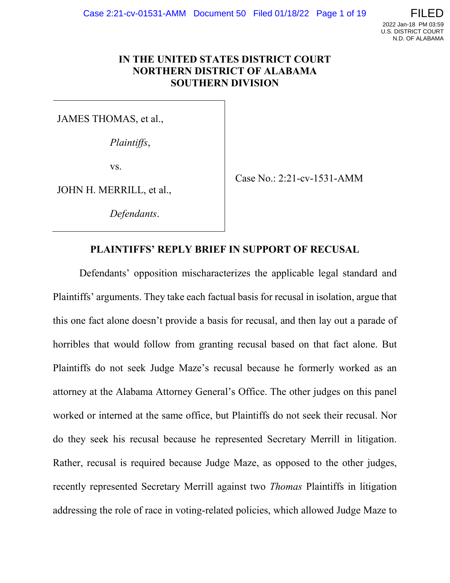

### **IN THE UNITED STATES DISTRICT COURT NORTHERN DISTRICT OF ALABAMA SOUTHERN DIVISION**

JAMES THOMAS, et al.,

*Plaintiffs*,

vs.

JOHN H. MERRILL, et al.,

*Defendants*.

Case No.: 2:21-cv-1531-AMM

### **PLAINTIFFS' REPLY BRIEF IN SUPPORT OF RECUSAL**

Defendants' opposition mischaracterizes the applicable legal standard and Plaintiffs' arguments. They take each factual basis for recusal in isolation, argue that this one fact alone doesn't provide a basis for recusal, and then lay out a parade of horribles that would follow from granting recusal based on that fact alone. But Plaintiffs do not seek Judge Maze's recusal because he formerly worked as an attorney at the Alabama Attorney General's Office. The other judges on this panel worked or interned at the same office, but Plaintiffs do not seek their recusal. Nor do they seek his recusal because he represented Secretary Merrill in litigation. Rather, recusal is required because Judge Maze, as opposed to the other judges, recently represented Secretary Merrill against two *Thomas* Plaintiffs in litigation addressing the role of race in voting-related policies, which allowed Judge Maze to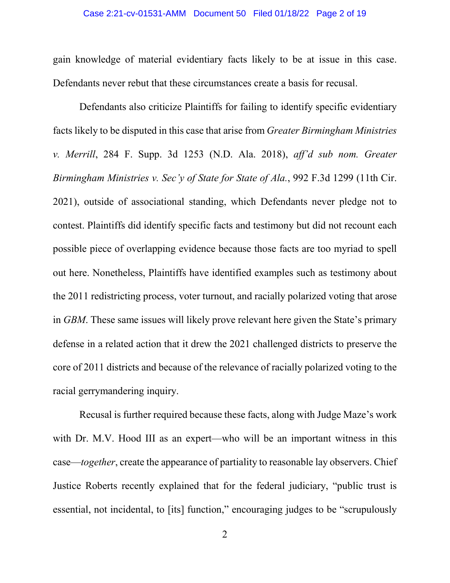#### Case 2:21-cv-01531-AMM Document 50 Filed 01/18/22 Page 2 of 19

gain knowledge of material evidentiary facts likely to be at issue in this case. Defendants never rebut that these circumstances create a basis for recusal.

Defendants also criticize Plaintiffs for failing to identify specific evidentiary facts likely to be disputed in this case that arise from *Greater Birmingham Ministries v. Merrill*, 284 F. Supp. 3d 1253 (N.D. Ala. 2018), *aff'd sub nom. Greater Birmingham Ministries v. Sec'y of State for State of Ala.*, 992 F.3d 1299 (11th Cir. 2021), outside of associational standing, which Defendants never pledge not to contest. Plaintiffs did identify specific facts and testimony but did not recount each possible piece of overlapping evidence because those facts are too myriad to spell out here. Nonetheless, Plaintiffs have identified examples such as testimony about the 2011 redistricting process, voter turnout, and racially polarized voting that arose in *GBM*. These same issues will likely prove relevant here given the State's primary defense in a related action that it drew the 2021 challenged districts to preserve the core of 2011 districts and because of the relevance of racially polarized voting to the racial gerrymandering inquiry.

Recusal is further required because these facts, along with Judge Maze's work with Dr. M.V. Hood III as an expert—who will be an important witness in this case—*together*, create the appearance of partiality to reasonable lay observers. Chief Justice Roberts recently explained that for the federal judiciary, "public trust is essential, not incidental, to [its] function," encouraging judges to be "scrupulously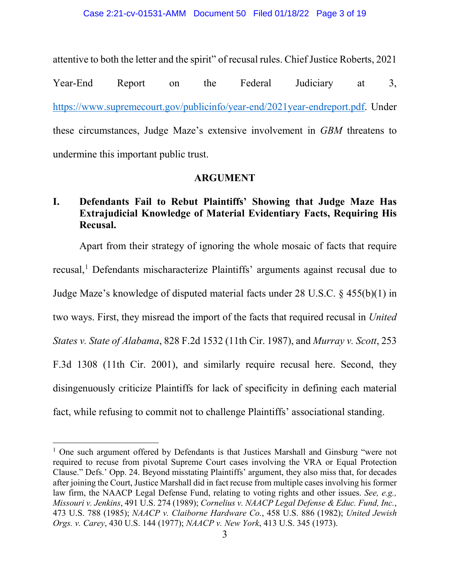attentive to both the letter and the spirit" of recusal rules. Chief Justice Roberts, 2021

Year-End Report on the Federal Judiciary at 3, [https://www.supremecourt.gov/publicinfo/year-end/2021year-endreport.pdf.](https://www.supremecourt.gov/publicinfo/year-end/2021year-endreport.pdf) Under these circumstances, Judge Maze's extensive involvement in *GBM* threatens to undermine this important public trust.

## **ARGUMENT**

# **I. Defendants Fail to Rebut Plaintiffs' Showing that Judge Maze Has Extrajudicial Knowledge of Material Evidentiary Facts, Requiring His Recusal.**

Apart from their strategy of ignoring the whole mosaic of facts that require recusal,<sup>[1](#page-2-0)</sup> Defendants mischaracterize Plaintiffs' arguments against recusal due to Judge Maze's knowledge of disputed material facts under 28 U.S.C. § 455(b)(1) in two ways. First, they misread the import of the facts that required recusal in *United States v. State of Alabama*, 828 F.2d 1532 (11th Cir. 1987), and *Murray v. Scott*, 253 F.3d 1308 (11th Cir. 2001), and similarly require recusal here. Second, they disingenuously criticize Plaintiffs for lack of specificity in defining each material fact, while refusing to commit not to challenge Plaintiffs' associational standing.

 $\overline{\phantom{a}}$ 

<span id="page-2-0"></span><sup>&</sup>lt;sup>1</sup> One such argument offered by Defendants is that Justices Marshall and Ginsburg "were not required to recuse from pivotal Supreme Court cases involving the VRA or Equal Protection Clause." Defs.' Opp. 24. Beyond misstating Plaintiffs' argument, they also miss that, for decades after joining the Court, Justice Marshall did in fact recuse from multiple cases involving his former law firm, the NAACP Legal Defense Fund, relating to voting rights and other issues. *See, e.g., Missouri v. Jenkins*, 491 U.S. 274 (1989); *Cornelius v. NAACP Legal Defense & Educ. Fund, Inc.*, 473 U.S. 788 (1985); *NAACP v. Claiborne Hardware Co.*, 458 U.S. 886 (1982); *United Jewish Orgs. v. Carey*, 430 U.S. 144 (1977); *NAACP v. New York*, 413 U.S. 345 (1973).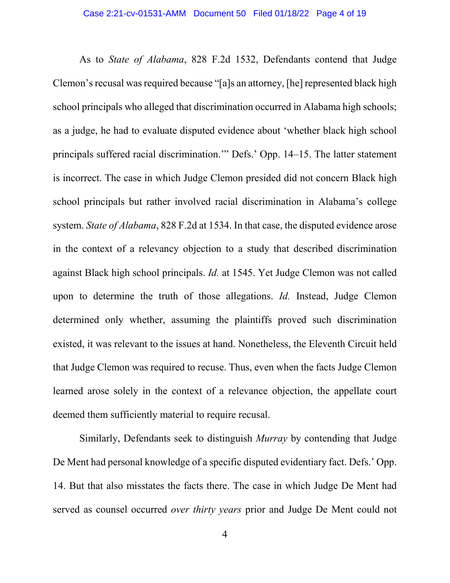As to *State of Alabama*, 828 F.2d 1532, Defendants contend that Judge Clemon's recusal was required because "[a]s an attorney, [he] represented black high school principals who alleged that discrimination occurred in Alabama high schools; as a judge, he had to evaluate disputed evidence about 'whether black high school principals suffered racial discrimination.'" Defs.' Opp. 14–15. The latter statement is incorrect. The case in which Judge Clemon presided did not concern Black high school principals but rather involved racial discrimination in Alabama's college system. *State of Alabama*, 828 F.2d at 1534. In that case, the disputed evidence arose in the context of a relevancy objection to a study that described discrimination against Black high school principals. *Id.* at 1545. Yet Judge Clemon was not called upon to determine the truth of those allegations. *Id.* Instead, Judge Clemon determined only whether, assuming the plaintiffs proved such discrimination existed, it was relevant to the issues at hand. Nonetheless, the Eleventh Circuit held that Judge Clemon was required to recuse. Thus, even when the facts Judge Clemon learned arose solely in the context of a relevance objection, the appellate court deemed them sufficiently material to require recusal.

Similarly, Defendants seek to distinguish *Murray* by contending that Judge De Ment had personal knowledge of a specific disputed evidentiary fact. Defs.' Opp. 14. But that also misstates the facts there. The case in which Judge De Ment had served as counsel occurred *over thirty years* prior and Judge De Ment could not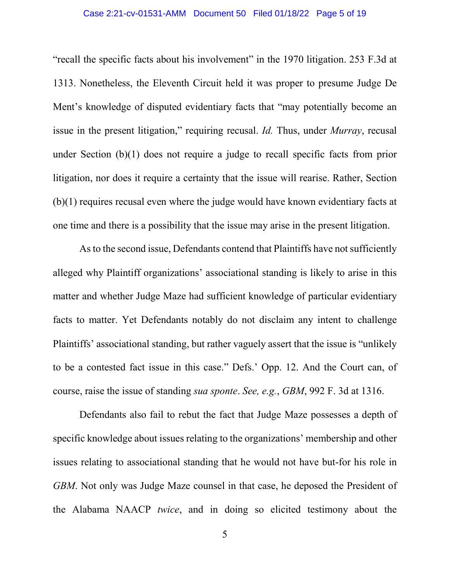### Case 2:21-cv-01531-AMM Document 50 Filed 01/18/22 Page 5 of 19

"recall the specific facts about his involvement" in the 1970 litigation. 253 F.3d at 1313. Nonetheless, the Eleventh Circuit held it was proper to presume Judge De Ment's knowledge of disputed evidentiary facts that "may potentially become an issue in the present litigation," requiring recusal. *Id.* Thus, under *Murray*, recusal under Section (b)(1) does not require a judge to recall specific facts from prior litigation, nor does it require a certainty that the issue will rearise. Rather, Section (b)(1) requires recusal even where the judge would have known evidentiary facts at one time and there is a possibility that the issue may arise in the present litigation.

As to the second issue, Defendants contend that Plaintiffs have not sufficiently alleged why Plaintiff organizations' associational standing is likely to arise in this matter and whether Judge Maze had sufficient knowledge of particular evidentiary facts to matter. Yet Defendants notably do not disclaim any intent to challenge Plaintiffs' associational standing, but rather vaguely assert that the issue is "unlikely to be a contested fact issue in this case." Defs.' Opp. 12. And the Court can, of course, raise the issue of standing *sua sponte*. *See, e.g.*, *GBM*, 992 F. 3d at 1316.

Defendants also fail to rebut the fact that Judge Maze possesses a depth of specific knowledge about issues relating to the organizations' membership and other issues relating to associational standing that he would not have but-for his role in *GBM*. Not only was Judge Maze counsel in that case, he deposed the President of the Alabama NAACP *twice*, and in doing so elicited testimony about the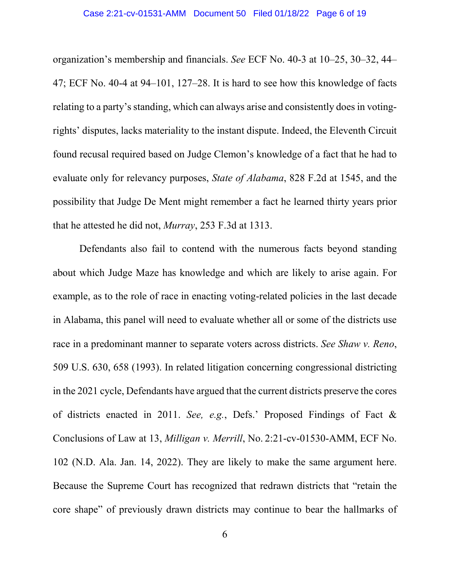organization's membership and financials. *See* ECF No. 40-3 at 10–25, 30–32, 44– 47; ECF No. 40-4 at 94–101, 127–28. It is hard to see how this knowledge of facts relating to a party's standing, which can always arise and consistently does in votingrights' disputes, lacks materiality to the instant dispute. Indeed, the Eleventh Circuit found recusal required based on Judge Clemon's knowledge of a fact that he had to evaluate only for relevancy purposes, *State of Alabama*, 828 F.2d at 1545, and the possibility that Judge De Ment might remember a fact he learned thirty years prior that he attested he did not, *Murray*, 253 F.3d at 1313.

Defendants also fail to contend with the numerous facts beyond standing about which Judge Maze has knowledge and which are likely to arise again. For example, as to the role of race in enacting voting-related policies in the last decade in Alabama, this panel will need to evaluate whether all or some of the districts use race in a predominant manner to separate voters across districts. *See Shaw v. Reno*, 509 U.S. 630, 658 (1993). In related litigation concerning congressional districting in the 2021 cycle, Defendants have argued that the current districts preserve the cores of districts enacted in 2011. *See, e.g.*, Defs.' Proposed Findings of Fact & Conclusions of Law at 13, *Milligan v. Merrill*, No. 2:21-cv-01530-AMM, ECF No. 102 (N.D. Ala. Jan. 14, 2022). They are likely to make the same argument here. Because the Supreme Court has recognized that redrawn districts that "retain the core shape" of previously drawn districts may continue to bear the hallmarks of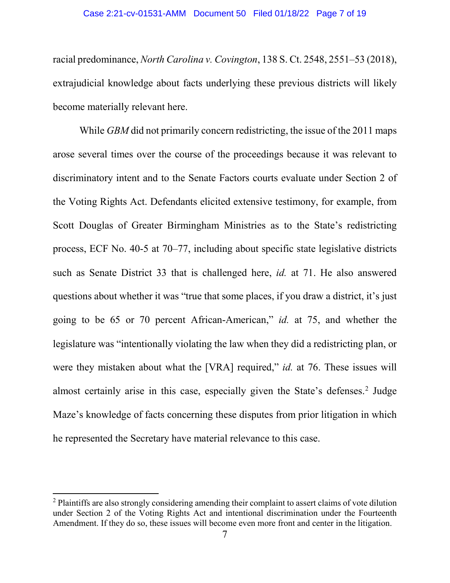#### Case 2:21-cv-01531-AMM Document 50 Filed 01/18/22 Page 7 of 19

racial predominance, *North Carolina v. Covington*, 138 S. Ct. 2548, 2551–53 (2018), extrajudicial knowledge about facts underlying these previous districts will likely become materially relevant here.

While *GBM* did not primarily concern redistricting, the issue of the 2011 maps arose several times over the course of the proceedings because it was relevant to discriminatory intent and to the Senate Factors courts evaluate under Section 2 of the Voting Rights Act. Defendants elicited extensive testimony, for example, from Scott Douglas of Greater Birmingham Ministries as to the State's redistricting process, ECF No. 40-5 at 70–77, including about specific state legislative districts such as Senate District 33 that is challenged here, *id.* at 71. He also answered questions about whether it was "true that some places, if you draw a district, it's just going to be 65 or 70 percent African-American," *id.* at 75, and whether the legislature was "intentionally violating the law when they did a redistricting plan, or were they mistaken about what the [VRA] required," *id.* at 76. These issues will almost certainly arise in this case, especially given the State's defenses. [2](#page-6-0) Judge Maze's knowledge of facts concerning these disputes from prior litigation in which he represented the Secretary have material relevance to this case.

l

<span id="page-6-0"></span><sup>&</sup>lt;sup>2</sup> Plaintiffs are also strongly considering amending their complaint to assert claims of vote dilution under Section 2 of the Voting Rights Act and intentional discrimination under the Fourteenth Amendment. If they do so, these issues will become even more front and center in the litigation.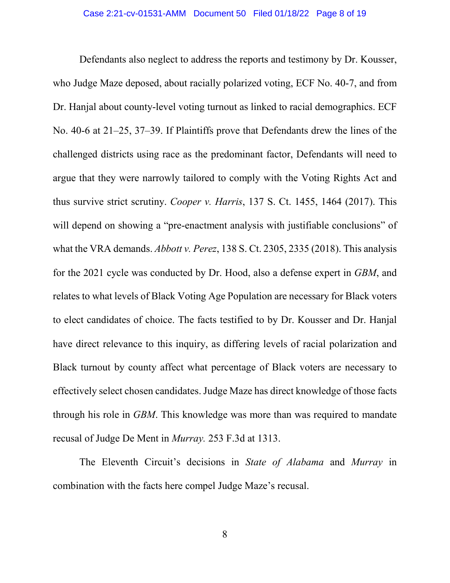Defendants also neglect to address the reports and testimony by Dr. Kousser, who Judge Maze deposed, about racially polarized voting, ECF No. 40-7, and from Dr. Hanjal about county-level voting turnout as linked to racial demographics. ECF No. 40-6 at 21–25, 37–39. If Plaintiffs prove that Defendants drew the lines of the challenged districts using race as the predominant factor, Defendants will need to argue that they were narrowly tailored to comply with the Voting Rights Act and thus survive strict scrutiny. *Cooper v. Harris*, 137 S. Ct. 1455, 1464 (2017). This will depend on showing a "pre-enactment analysis with justifiable conclusions" of what the VRA demands. *Abbott v. Perez*, 138 S. Ct. 2305, 2335 (2018). This analysis for the 2021 cycle was conducted by Dr. Hood, also a defense expert in *GBM*, and relates to what levels of Black Voting Age Population are necessary for Black voters to elect candidates of choice. The facts testified to by Dr. Kousser and Dr. Hanjal have direct relevance to this inquiry, as differing levels of racial polarization and Black turnout by county affect what percentage of Black voters are necessary to effectively select chosen candidates. Judge Maze has direct knowledge of those facts through his role in *GBM*. This knowledge was more than was required to mandate recusal of Judge De Ment in *Murray.* 253 F.3d at 1313.

The Eleventh Circuit's decisions in *State of Alabama* and *Murray* in combination with the facts here compel Judge Maze's recusal.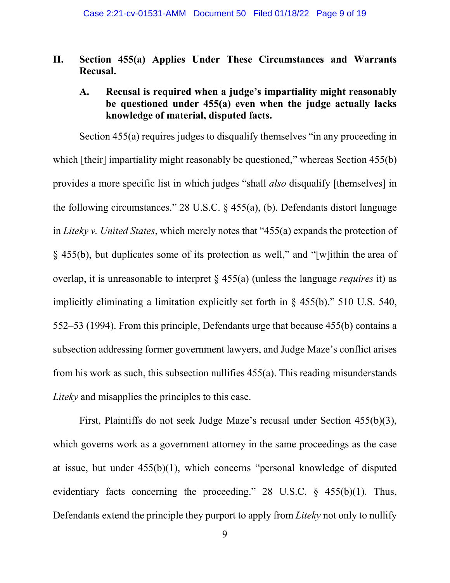# **II. Section 455(a) Applies Under These Circumstances and Warrants Recusal.**

## **A. Recusal is required when a judge's impartiality might reasonably be questioned under 455(a) even when the judge actually lacks knowledge of material, disputed facts.**

Section 455(a) requires judges to disqualify themselves "in any proceeding in which [their] impartiality might reasonably be questioned," whereas Section 455(b) provides a more specific list in which judges "shall *also* disqualify [themselves] in the following circumstances." 28 U.S.C. § 455(a), (b). Defendants distort language in *Liteky v. United States*, which merely notes that "455(a) expands the protection of § 455(b), but duplicates some of its protection as well," and "[w]ithin the area of overlap, it is unreasonable to interpret § 455(a) (unless the language *requires* it) as implicitly eliminating a limitation explicitly set forth in § 455(b)." 510 U.S. 540, 552–53 (1994). From this principle, Defendants urge that because 455(b) contains a subsection addressing former government lawyers, and Judge Maze's conflict arises from his work as such, this subsection nullifies 455(a). This reading misunderstands *Liteky* and misapplies the principles to this case.

First, Plaintiffs do not seek Judge Maze's recusal under Section 455(b)(3), which governs work as a government attorney in the same proceedings as the case at issue, but under 455(b)(1), which concerns "personal knowledge of disputed evidentiary facts concerning the proceeding." 28 U.S.C. § 455(b)(1). Thus, Defendants extend the principle they purport to apply from *Liteky* not only to nullify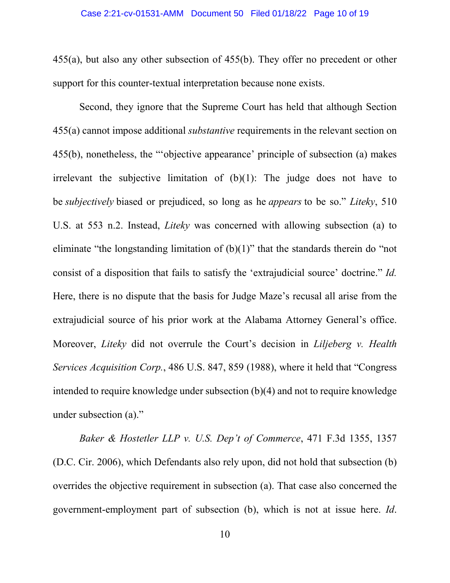455(a), but also any other subsection of 455(b). They offer no precedent or other support for this counter-textual interpretation because none exists.

Second, they ignore that the Supreme Court has held that although Section 455(a) cannot impose additional *substantive* requirements in the relevant section on 455(b), nonetheless, the "'objective appearance' principle of subsection (a) makes irrelevant the subjective limitation of  $(b)(1)$ : The judge does not have to be *subjectively* biased or prejudiced, so long as he *appears* to be so." *Liteky*, 510 U.S. at 553 n.2. Instead, *Liteky* was concerned with allowing subsection (a) to eliminate "the longstanding limitation of  $(b)(1)$ " that the standards therein do "not" consist of a disposition that fails to satisfy the 'extrajudicial source' doctrine." *Id.* Here, there is no dispute that the basis for Judge Maze's recusal all arise from the extrajudicial source of his prior work at the Alabama Attorney General's office. Moreover, *Liteky* did not overrule the Court's decision in *Liljeberg v. Health Services Acquisition Corp.*, 486 U.S. 847, 859 (1988), where it held that "Congress intended to require knowledge under subsection (b)(4) and not to require knowledge under subsection (a)."

*Baker & Hostetler LLP v. U.S. Dep't of Commerce*, 471 F.3d 1355, 1357 (D.C. Cir. 2006), which Defendants also rely upon, did not hold that subsection (b) overrides the objective requirement in subsection (a). That case also concerned the government-employment part of subsection (b), which is not at issue here. *Id*.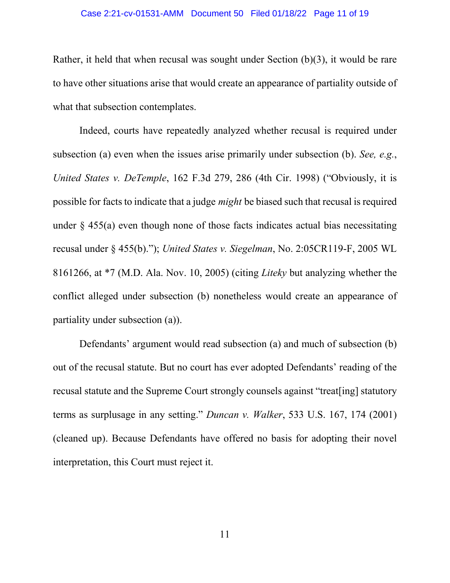#### Case 2:21-cv-01531-AMM Document 50 Filed 01/18/22 Page 11 of 19

Rather, it held that when recusal was sought under Section (b)(3), it would be rare to have other situations arise that would create an appearance of partiality outside of what that subsection contemplates.

Indeed, courts have repeatedly analyzed whether recusal is required under subsection (a) even when the issues arise primarily under subsection (b). *See, e.g.*, *United States v. DeTemple*, 162 F.3d 279, 286 (4th Cir. 1998) ("Obviously, it is possible for facts to indicate that a judge *might* be biased such that recusal is required under  $\S$  455(a) even though none of those facts indicates actual bias necessitating recusal under § 455(b)."); *United States v. Siegelman*, No. 2:05CR119-F, 2005 WL 8161266, at \*7 (M.D. Ala. Nov. 10, 2005) (citing *Liteky* but analyzing whether the conflict alleged under subsection (b) nonetheless would create an appearance of partiality under subsection (a)).

Defendants' argument would read subsection (a) and much of subsection (b) out of the recusal statute. But no court has ever adopted Defendants' reading of the recusal statute and the Supreme Court strongly counsels against "treat[ing] statutory terms as surplusage in any setting." *Duncan v. Walker*, 533 U.S. 167, 174 (2001) (cleaned up). Because Defendants have offered no basis for adopting their novel interpretation, this Court must reject it.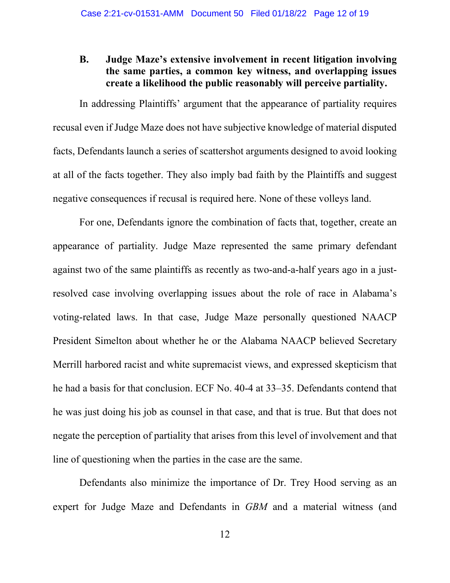## **B. Judge Maze's extensive involvement in recent litigation involving the same parties, a common key witness, and overlapping issues create a likelihood the public reasonably will perceive partiality.**

In addressing Plaintiffs' argument that the appearance of partiality requires recusal even if Judge Maze does not have subjective knowledge of material disputed facts, Defendants launch a series of scattershot arguments designed to avoid looking at all of the facts together. They also imply bad faith by the Plaintiffs and suggest negative consequences if recusal is required here. None of these volleys land.

For one, Defendants ignore the combination of facts that, together, create an appearance of partiality. Judge Maze represented the same primary defendant against two of the same plaintiffs as recently as two-and-a-half years ago in a justresolved case involving overlapping issues about the role of race in Alabama's voting-related laws. In that case, Judge Maze personally questioned NAACP President Simelton about whether he or the Alabama NAACP believed Secretary Merrill harbored racist and white supremacist views, and expressed skepticism that he had a basis for that conclusion. ECF No. 40-4 at 33–35. Defendants contend that he was just doing his job as counsel in that case, and that is true. But that does not negate the perception of partiality that arises from this level of involvement and that line of questioning when the parties in the case are the same.

Defendants also minimize the importance of Dr. Trey Hood serving as an expert for Judge Maze and Defendants in *GBM* and a material witness (and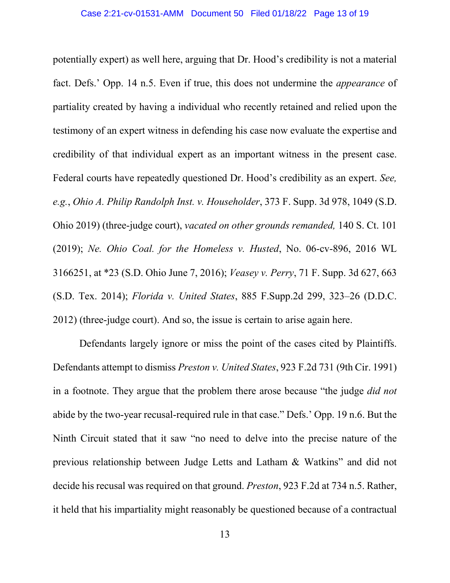potentially expert) as well here, arguing that Dr. Hood's credibility is not a material fact. Defs.' Opp. 14 n.5. Even if true, this does not undermine the *appearance* of partiality created by having a individual who recently retained and relied upon the testimony of an expert witness in defending his case now evaluate the expertise and credibility of that individual expert as an important witness in the present case. Federal courts have repeatedly questioned Dr. Hood's credibility as an expert. *See, e.g.*, *Ohio A. Philip Randolph Inst. v. Householder*, 373 F. Supp. 3d 978, 1049 (S.D. Ohio 2019) (three-judge court), *vacated on other grounds remanded,* 140 S. Ct. 101 (2019); *Ne. Ohio Coal. for the Homeless v. Husted*, No. 06-cv-896, 2016 WL 3166251, at \*23 (S.D. Ohio June 7, 2016); *Veasey v. Perry*, 71 F. Supp. 3d 627, 663 (S.D. Tex. 2014); *Florida v. United States*, 885 F.Supp.2d 299, 323–26 (D.D.C. 2012) (three-judge court). And so, the issue is certain to arise again here.

Defendants largely ignore or miss the point of the cases cited by Plaintiffs. Defendants attempt to dismiss *Preston v. United States*, 923 F.2d 731 (9th Cir. 1991) in a footnote. They argue that the problem there arose because "the judge *did not* abide by the two-year recusal-required rule in that case." Defs.' Opp. 19 n.6. But the Ninth Circuit stated that it saw "no need to delve into the precise nature of the previous relationship between Judge Letts and Latham & Watkins" and did not decide his recusal was required on that ground. *Preston*, 923 F.2d at 734 n.5. Rather, it held that his impartiality might reasonably be questioned because of a contractual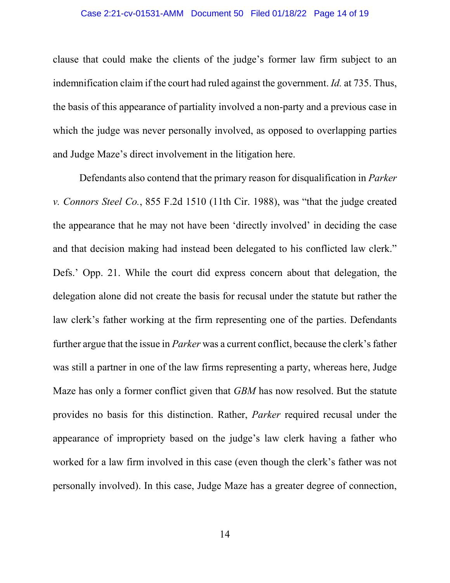clause that could make the clients of the judge's former law firm subject to an indemnification claim if the court had ruled against the government. *Id.* at 735. Thus, the basis of this appearance of partiality involved a non-party and a previous case in which the judge was never personally involved, as opposed to overlapping parties and Judge Maze's direct involvement in the litigation here.

Defendants also contend that the primary reason for disqualification in *Parker v. Connors Steel Co.*, 855 F.2d 1510 (11th Cir. 1988), was "that the judge created the appearance that he may not have been 'directly involved' in deciding the case and that decision making had instead been delegated to his conflicted law clerk." Defs.' Opp. 21. While the court did express concern about that delegation, the delegation alone did not create the basis for recusal under the statute but rather the law clerk's father working at the firm representing one of the parties. Defendants further argue that the issue in *Parker* was a current conflict, because the clerk's father was still a partner in one of the law firms representing a party, whereas here, Judge Maze has only a former conflict given that *GBM* has now resolved. But the statute provides no basis for this distinction. Rather, *Parker* required recusal under the appearance of impropriety based on the judge's law clerk having a father who worked for a law firm involved in this case (even though the clerk's father was not personally involved). In this case, Judge Maze has a greater degree of connection,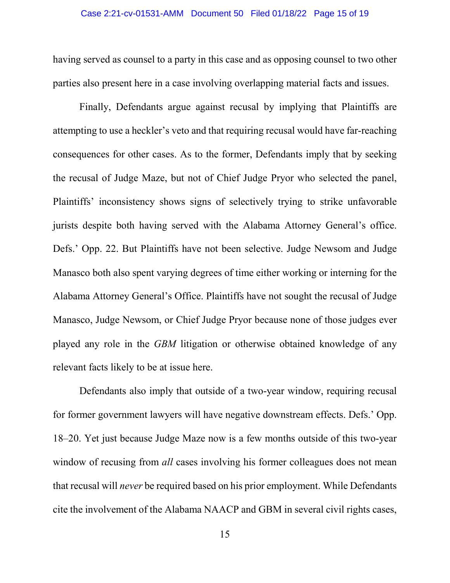### Case 2:21-cv-01531-AMM Document 50 Filed 01/18/22 Page 15 of 19

having served as counsel to a party in this case and as opposing counsel to two other parties also present here in a case involving overlapping material facts and issues.

Finally, Defendants argue against recusal by implying that Plaintiffs are attempting to use a heckler's veto and that requiring recusal would have far-reaching consequences for other cases. As to the former, Defendants imply that by seeking the recusal of Judge Maze, but not of Chief Judge Pryor who selected the panel, Plaintiffs' inconsistency shows signs of selectively trying to strike unfavorable jurists despite both having served with the Alabama Attorney General's office. Defs.' Opp. 22. But Plaintiffs have not been selective. Judge Newsom and Judge Manasco both also spent varying degrees of time either working or interning for the Alabama Attorney General's Office. Plaintiffs have not sought the recusal of Judge Manasco, Judge Newsom, or Chief Judge Pryor because none of those judges ever played any role in the *GBM* litigation or otherwise obtained knowledge of any relevant facts likely to be at issue here.

Defendants also imply that outside of a two-year window, requiring recusal for former government lawyers will have negative downstream effects. Defs.' Opp. 18–20. Yet just because Judge Maze now is a few months outside of this two-year window of recusing from *all* cases involving his former colleagues does not mean that recusal will *never* be required based on his prior employment. While Defendants cite the involvement of the Alabama NAACP and GBM in several civil rights cases,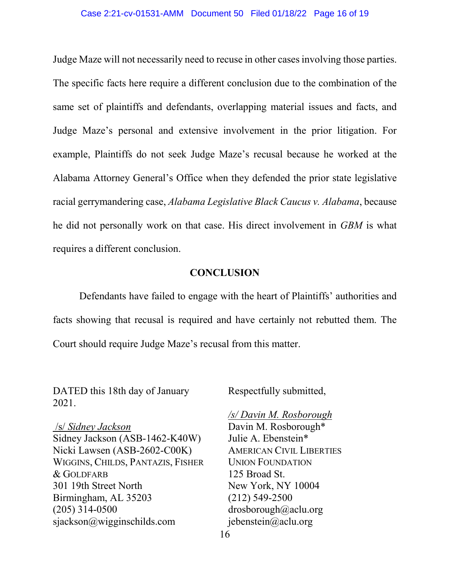#### Case 2:21-cv-01531-AMM Document 50 Filed 01/18/22 Page 16 of 19

Judge Maze will not necessarily need to recuse in other cases involving those parties. The specific facts here require a different conclusion due to the combination of the same set of plaintiffs and defendants, overlapping material issues and facts, and Judge Maze's personal and extensive involvement in the prior litigation. For example, Plaintiffs do not seek Judge Maze's recusal because he worked at the Alabama Attorney General's Office when they defended the prior state legislative racial gerrymandering case, *Alabama Legislative Black Caucus v. Alabama*, because he did not personally work on that case. His direct involvement in *GBM* is what requires a different conclusion.

### **CONCLUSION**

Defendants have failed to engage with the heart of Plaintiffs' authorities and facts showing that recusal is required and have certainly not rebutted them. The Court should require Judge Maze's recusal from this matter.

DATED this 18th day of January 2021.

Respectfully submitted,

/s/ *Sidney Jackson* Sidney Jackson (ASB-1462-K40W) Nicki Lawsen (ASB-2602-C00K) WIGGINS, CHILDS, PANTAZIS, FISHER & GOLDFARB 301 19th Street North Birmingham, AL 35203 (205) 314-0500 sjackson@wigginschilds.com

*/s/ Davin M. Rosborough* Davin M. Rosborough\* Julie A. Ebenstein\* AMERICAN CIVIL LIBERTIES UNION FOUNDATION 125 Broad St. New York, NY 10004 (212) 549-2500 drosborough@aclu.org jebenstein@aclu.org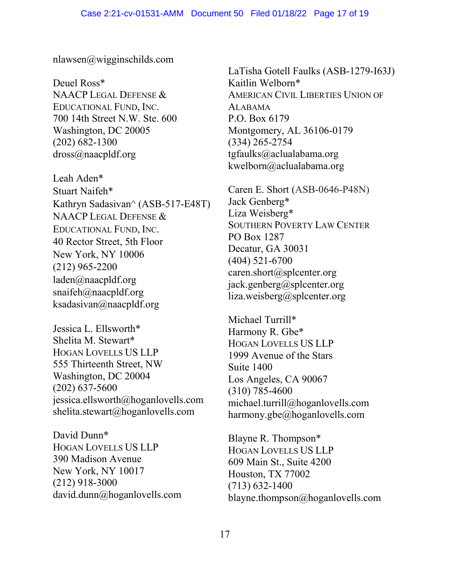nlawsen@wigginschilds.com

Deuel Ross\* NAACP LEGAL DEFENSE & EDUCATIONAL FUND, INC. 700 14th Street N.W. Ste. 600 Washington, DC 20005 (202) 682-1300 dross@naacpldf.org

Leah Aden\* Stuart Naifeh\* Kathryn Sadasivan^ (ASB-517-E48T) NAACP LEGAL DEFENSE & EDUCATIONAL FUND, INC. 40 Rector Street, 5th Floor New York, NY 10006 (212) 965-2200 laden@naacpldf.org [snaifeh@naacpldf.org](mailto:snaifeh@naacpldf.org) [ksadasivan@naacpldf.org](mailto:ksadasivan@naacpldf.org)

Jessica L. Ellsworth\* Shelita M. Stewart\* HOGAN LOVELLS US LLP 555 Thirteenth Street, NW Washington, DC 20004 (202) 637-5600 jessica.ellsworth@hoganlovells.com shelita.stewart@hoganlovells.com

David Dunn\* HOGAN LOVELLS US LLP 390 Madison Avenue New York, NY 10017 (212) 918-3000 david.dunn@hoganlovells.com LaTisha Gotell Faulks (ASB-1279-I63J) Kaitlin Welborn\* AMERICAN CIVIL LIBERTIES UNION OF ALABAMA P.O. Box 6179 Montgomery, AL 36106-0179 (334) 265-2754 tgfaulks@aclualabama.org kwelborn@aclualabama.org

Caren E. Short (ASB-0646-P48N) Jack Genberg\* Liza Weisberg\* SOUTHERN POVERTY LAW CENTER PO Box 1287 Decatur, GA 30031 (404) 521-6700 caren.short@splcenter.org jack.genberg@splcenter.org liza.weisberg@splcenter.org

Michael Turrill\* Harmony R. Gbe\* HOGAN LOVELLS US LLP 1999 Avenue of the Stars Suite 1400 Los Angeles, CA 90067 (310) 785-4600 michael.turrill@hoganlovells.com harmony.gbe@hoganlovells.com

Blayne R. Thompson\* HOGAN LOVELLS US LLP 609 Main St., Suite 4200 Houston, TX 77002 (713) 632-1400 blayne.thompson@hoganlovells.com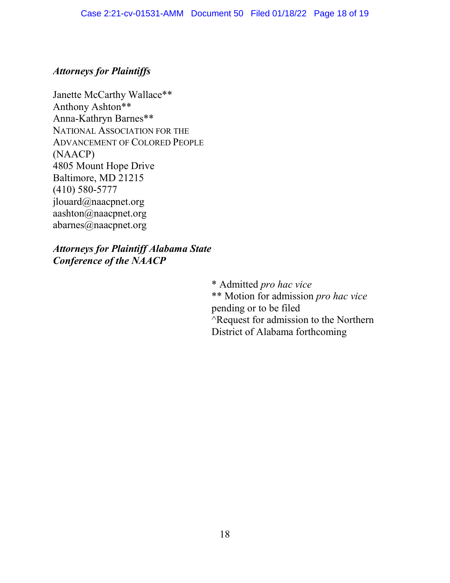### *Attorneys for Plaintiffs*

Janette McCarthy Wallace\*\* Anthony Ashton\*\* Anna-Kathryn Barnes\*\* NATIONAL ASSOCIATION FOR THE ADVANCEMENT OF COLORED PEOPLE (NAACP) 4805 Mount Hope Drive Baltimore, MD 21215 (410) 580-5777 jlouard@naacpnet.org aashton@naacpnet.org abarnes@naacpnet.org

*Attorneys for Plaintiff Alabama State Conference of the NAACP*

> \* Admitted *pro hac vice* \*\* Motion for admission *pro hac vice* pending or to be filed ^Request for admission to the Northern District of Alabama forthcoming